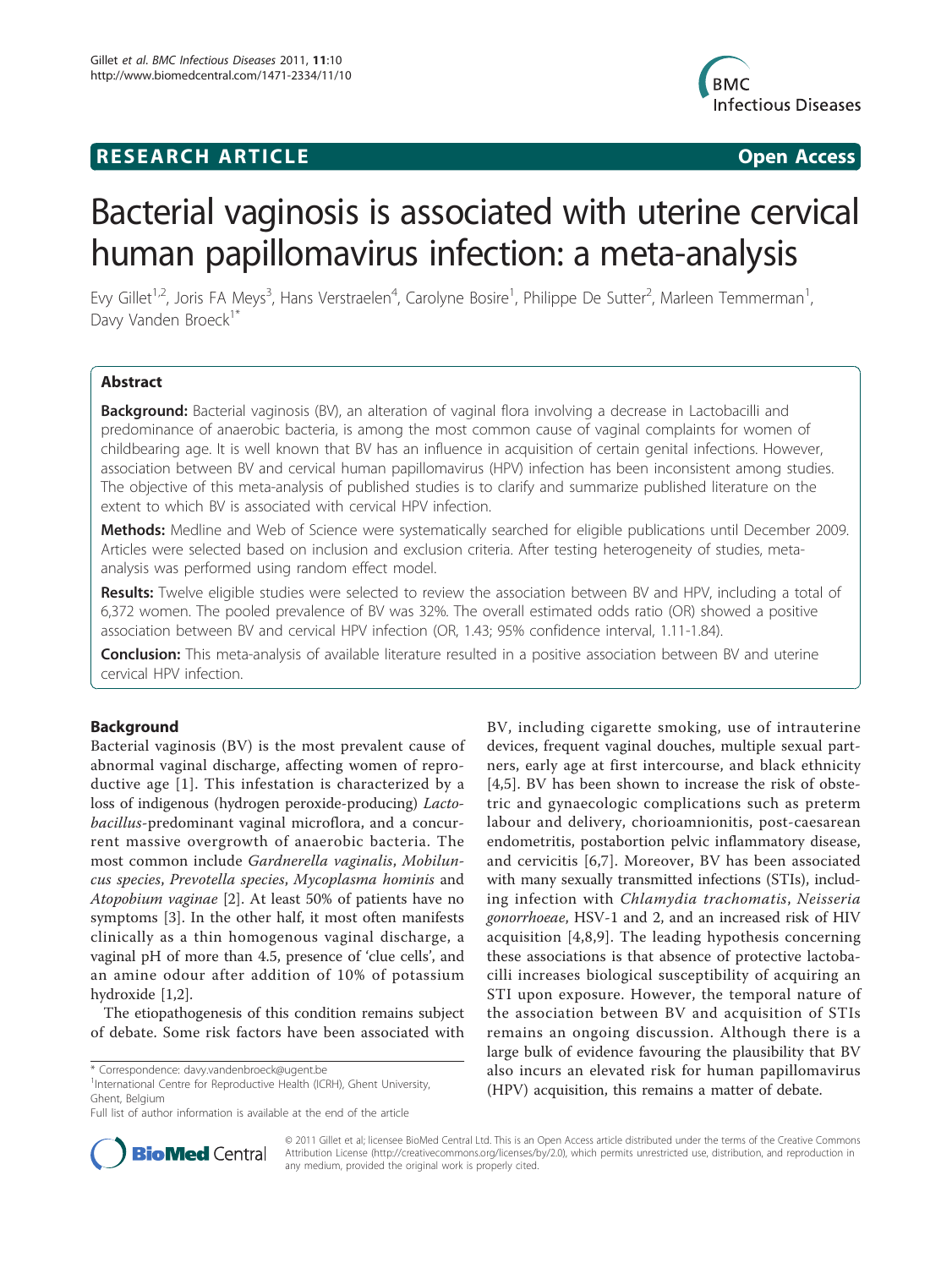## **RESEARCH ARTICLE Example 2018 CONSIDERING ACCESS**



# Bacterial vaginosis is associated with uterine cervical human papillomavirus infection: a meta-analysis

Evy Gillet<sup>1,2</sup>, Joris FA Meys<sup>3</sup>, Hans Verstraelen<sup>4</sup>, Carolyne Bosire<sup>1</sup>, Philippe De Sutter<sup>2</sup>, Marleen Temmerman<sup>1</sup> , Davy Vanden Broeck<sup>1\*</sup>

## Abstract

Background: Bacterial vaginosis (BV), an alteration of vaginal flora involving a decrease in Lactobacilli and predominance of anaerobic bacteria, is among the most common cause of vaginal complaints for women of childbearing age. It is well known that BV has an influence in acquisition of certain genital infections. However, association between BV and cervical human papillomavirus (HPV) infection has been inconsistent among studies. The objective of this meta-analysis of published studies is to clarify and summarize published literature on the extent to which BV is associated with cervical HPV infection.

Methods: Medline and Web of Science were systematically searched for eligible publications until December 2009. Articles were selected based on inclusion and exclusion criteria. After testing heterogeneity of studies, metaanalysis was performed using random effect model.

Results: Twelve eligible studies were selected to review the association between BV and HPV, including a total of 6,372 women. The pooled prevalence of BV was 32%. The overall estimated odds ratio (OR) showed a positive association between BV and cervical HPV infection (OR, 1.43; 95% confidence interval, 1.11-1.84).

**Conclusion:** This meta-analysis of available literature resulted in a positive association between BV and uterine cervical HPV infection.

## Background

Bacterial vaginosis (BV) is the most prevalent cause of abnormal vaginal discharge, affecting women of reproductive age [[1](#page-7-0)]. This infestation is characterized by a loss of indigenous (hydrogen peroxide-producing) Lactobacillus-predominant vaginal microflora, and a concurrent massive overgrowth of anaerobic bacteria. The most common include Gardnerella vaginalis, Mobiluncus species, Prevotella species, Mycoplasma hominis and Atopobium vaginae [[2\]](#page-7-0). At least 50% of patients have no symptoms [[3](#page-7-0)]. In the other half, it most often manifests clinically as a thin homogenous vaginal discharge, a vaginal pH of more than 4.5, presence of 'clue cells', and an amine odour after addition of 10% of potassium hydroxide [[1](#page-7-0),[2](#page-7-0)].

The etiopathogenesis of this condition remains subject of debate. Some risk factors have been associated with

<sup>1</sup>International Centre for Reproductive Health (ICRH), Ghent University, Ghent, Belgium

BV, including cigarette smoking, use of intrauterine devices, frequent vaginal douches, multiple sexual partners, early age at first intercourse, and black ethnicity [[4,5](#page-7-0)]. BV has been shown to increase the risk of obstetric and gynaecologic complications such as preterm labour and delivery, chorioamnionitis, post-caesarean endometritis, postabortion pelvic inflammatory disease, and cervicitis [[6,7](#page-7-0)]. Moreover, BV has been associated with many sexually transmitted infections (STIs), including infection with Chlamydia trachomatis, Neisseria gonorrhoeae, HSV-1 and 2, and an increased risk of HIV acquisition [\[4,8,9\]](#page-7-0). The leading hypothesis concerning these associations is that absence of protective lactobacilli increases biological susceptibility of acquiring an STI upon exposure. However, the temporal nature of the association between BV and acquisition of STIs remains an ongoing discussion. Although there is a large bulk of evidence favouring the plausibility that BV also incurs an elevated risk for human papillomavirus (HPV) acquisition, this remains a matter of debate.



© 2011 Gillet et al; licensee BioMed Central Ltd. This is an Open Access article distributed under the terms of the Creative Commons Attribution License [\(http://creativecommons.org/licenses/by/2.0](http://creativecommons.org/licenses/by/2.0)), which permits unrestricted use, distribution, and reproduction in any medium, provided the original work is properly cited.

<sup>\*</sup> Correspondence: [davy.vandenbroeck@ugent.be](mailto:davy.vandenbroeck@ugent.be)

Full list of author information is available at the end of the article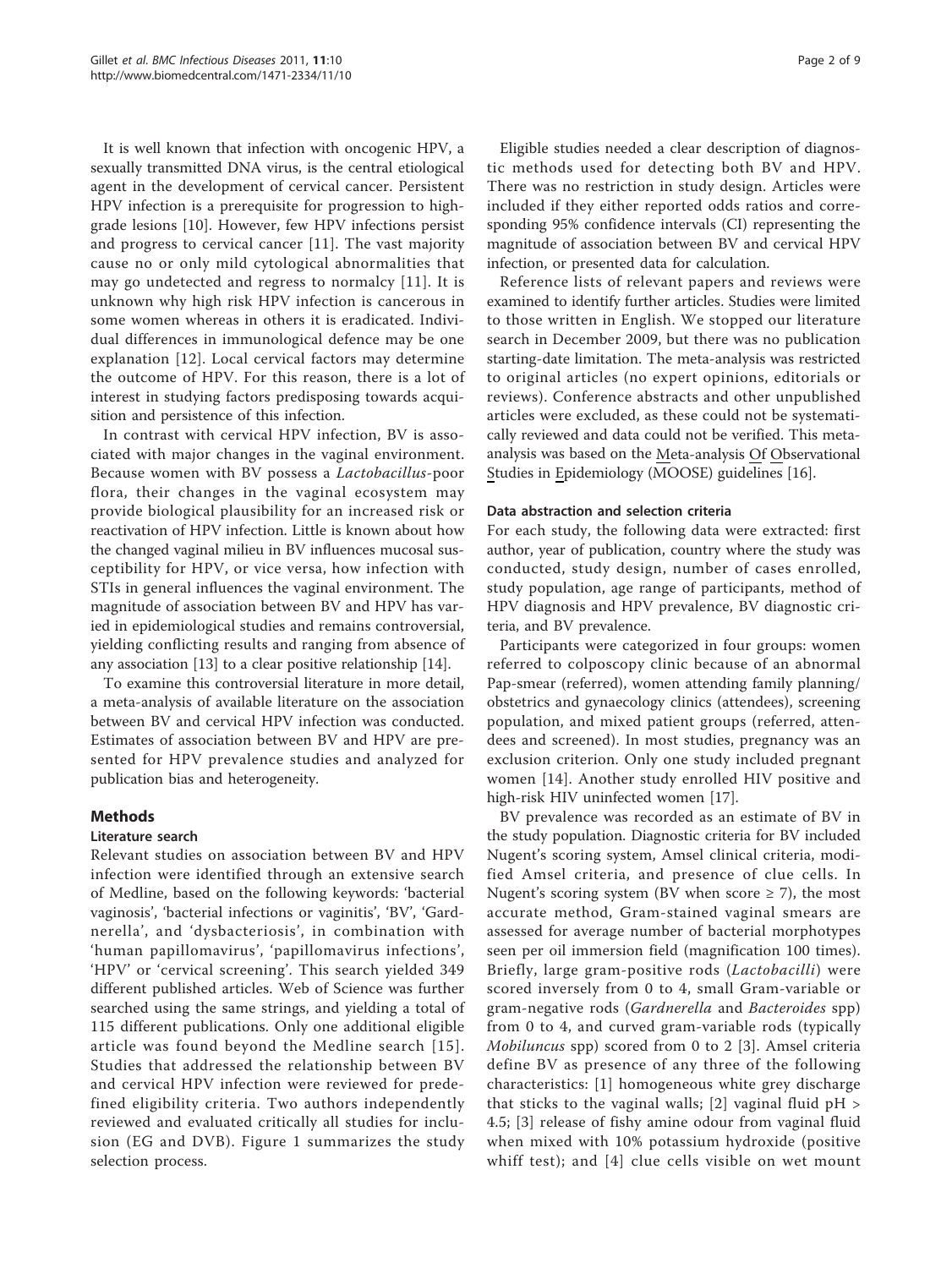It is well known that infection with oncogenic HPV, a sexually transmitted DNA virus, is the central etiological agent in the development of cervical cancer. Persistent HPV infection is a prerequisite for progression to highgrade lesions [\[10](#page-7-0)]. However, few HPV infections persist and progress to cervical cancer [\[11\]](#page-7-0). The vast majority cause no or only mild cytological abnormalities that may go undetected and regress to normalcy [[11](#page-7-0)]. It is unknown why high risk HPV infection is cancerous in some women whereas in others it is eradicated. Individual differences in immunological defence may be one explanation [[12](#page-7-0)]. Local cervical factors may determine the outcome of HPV. For this reason, there is a lot of interest in studying factors predisposing towards acquisition and persistence of this infection.

In contrast with cervical HPV infection, BV is associated with major changes in the vaginal environment. Because women with BV possess a Lactobacillus-poor flora, their changes in the vaginal ecosystem may provide biological plausibility for an increased risk or reactivation of HPV infection. Little is known about how the changed vaginal milieu in BV influences mucosal susceptibility for HPV, or vice versa, how infection with STIs in general influences the vaginal environment. The magnitude of association between BV and HPV has varied in epidemiological studies and remains controversial, yielding conflicting results and ranging from absence of any association [[13\]](#page-7-0) to a clear positive relationship [\[14](#page-7-0)].

To examine this controversial literature in more detail, a meta-analysis of available literature on the association between BV and cervical HPV infection was conducted. Estimates of association between BV and HPV are presented for HPV prevalence studies and analyzed for publication bias and heterogeneity.

## Methods

## Literature search

Relevant studies on association between BV and HPV infection were identified through an extensive search of Medline, based on the following keywords: 'bacterial vaginosis', 'bacterial infections or vaginitis', 'BV', 'Gardnerella', and 'dysbacteriosis', in combination with 'human papillomavirus', 'papillomavirus infections', 'HPV' or 'cervical screening'. This search yielded 349 different published articles. Web of Science was further searched using the same strings, and yielding a total of 115 different publications. Only one additional eligible article was found beyond the Medline search [[15\]](#page-7-0). Studies that addressed the relationship between BV and cervical HPV infection were reviewed for predefined eligibility criteria. Two authors independently reviewed and evaluated critically all studies for inclusion (EG and DVB). Figure [1](#page-2-0) summarizes the study selection process.

Eligible studies needed a clear description of diagnostic methods used for detecting both BV and HPV. There was no restriction in study design. Articles were included if they either reported odds ratios and corresponding 95% confidence intervals (CI) representing the magnitude of association between BV and cervical HPV infection, or presented data for calculation.

Reference lists of relevant papers and reviews were examined to identify further articles. Studies were limited to those written in English. We stopped our literature search in December 2009, but there was no publication starting-date limitation. The meta-analysis was restricted to original articles (no expert opinions, editorials or reviews). Conference abstracts and other unpublished articles were excluded, as these could not be systematically reviewed and data could not be verified. This metaanalysis was based on the Meta-analysis Of Observational Studies in Epidemiology (MOOSE) guidelines [[16](#page-7-0)].

## Data abstraction and selection criteria

For each study, the following data were extracted: first author, year of publication, country where the study was conducted, study design, number of cases enrolled, study population, age range of participants, method of HPV diagnosis and HPV prevalence, BV diagnostic criteria, and BV prevalence.

Participants were categorized in four groups: women referred to colposcopy clinic because of an abnormal Pap-smear (referred), women attending family planning/ obstetrics and gynaecology clinics (attendees), screening population, and mixed patient groups (referred, attendees and screened). In most studies, pregnancy was an exclusion criterion. Only one study included pregnant women [\[14\]](#page-7-0). Another study enrolled HIV positive and high-risk HIV uninfected women [\[17](#page-7-0)].

BV prevalence was recorded as an estimate of BV in the study population. Diagnostic criteria for BV included Nugent's scoring system, Amsel clinical criteria, modified Amsel criteria, and presence of clue cells. In Nugent's scoring system (BV when score  $\geq$  7), the most accurate method, Gram-stained vaginal smears are assessed for average number of bacterial morphotypes seen per oil immersion field (magnification 100 times). Briefly, large gram-positive rods (Lactobacilli) were scored inversely from 0 to 4, small Gram-variable or gram-negative rods (Gardnerella and Bacteroides spp) from 0 to 4, and curved gram-variable rods (typically Mobiluncus spp) scored from 0 to 2 [[3](#page-7-0)]. Amsel criteria define BV as presence of any three of the following characteristics: [[1](#page-7-0)] homogeneous white grey discharge that sticks to the vaginal walls; [[2](#page-7-0)] vaginal fluid pH > 4.5; [\[3](#page-7-0)] release of fishy amine odour from vaginal fluid when mixed with 10% potassium hydroxide (positive whiff test); and [[4](#page-7-0)] clue cells visible on wet mount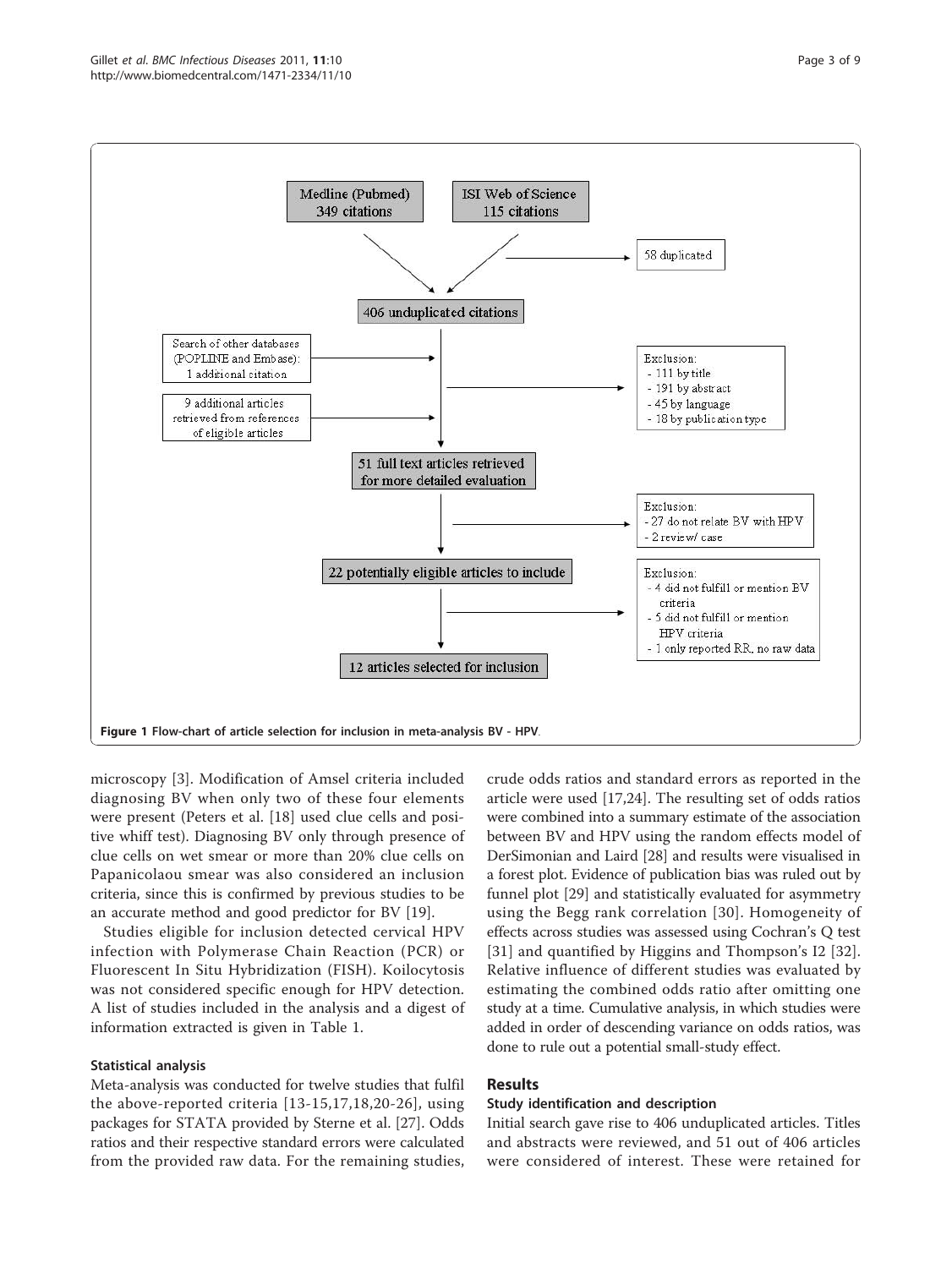<span id="page-2-0"></span>

microscopy [[3\]](#page-7-0). Modification of Amsel criteria included diagnosing BV when only two of these four elements were present (Peters et al. [[18\]](#page-7-0) used clue cells and positive whiff test). Diagnosing BV only through presence of clue cells on wet smear or more than 20% clue cells on Papanicolaou smear was also considered an inclusion criteria, since this is confirmed by previous studies to be an accurate method and good predictor for BV [\[19\]](#page-7-0).

Studies eligible for inclusion detected cervical HPV infection with Polymerase Chain Reaction (PCR) or Fluorescent In Situ Hybridization (FISH). Koilocytosis was not considered specific enough for HPV detection. A list of studies included in the analysis and a digest of information extracted is given in Table [1](#page-3-0).

## Statistical analysis

Meta-analysis was conducted for twelve studies that fulfil the above-reported criteria [[13](#page-7-0)-[15,17](#page-7-0),[18](#page-7-0),[20](#page-7-0)-[26](#page-7-0)], using packages for STATA provided by Sterne et al. [[27\]](#page-7-0). Odds ratios and their respective standard errors were calculated from the provided raw data. For the remaining studies, crude odds ratios and standard errors as reported in the article were used [\[17,24\]](#page-7-0). The resulting set of odds ratios were combined into a summary estimate of the association between BV and HPV using the random effects model of DerSimonian and Laird [\[28\]](#page-7-0) and results were visualised in a forest plot. Evidence of publication bias was ruled out by funnel plot [[29\]](#page-7-0) and statistically evaluated for asymmetry using the Begg rank correlation [\[30\]](#page-7-0). Homogeneity of effects across studies was assessed using Cochran's Q test [[31](#page-7-0)] and quantified by Higgins and Thompson's I2 [[32](#page-7-0)]. Relative influence of different studies was evaluated by estimating the combined odds ratio after omitting one study at a time. Cumulative analysis, in which studies were added in order of descending variance on odds ratios, was done to rule out a potential small-study effect.

## Results

#### Study identification and description

Initial search gave rise to 406 unduplicated articles. Titles and abstracts were reviewed, and 51 out of 406 articles were considered of interest. These were retained for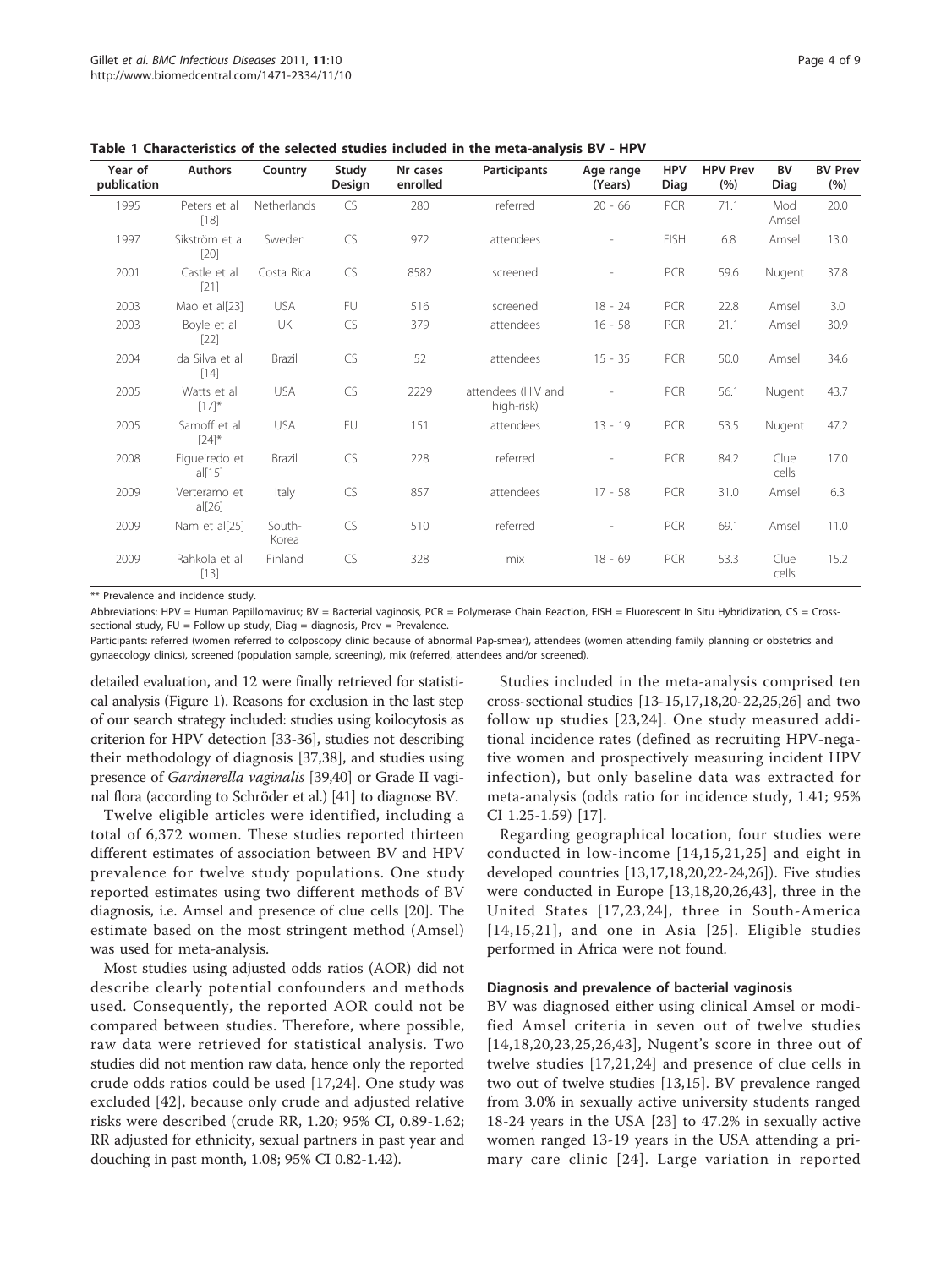| Year of<br>publication | <b>Authors</b>           | Country            | Study<br>Design | Nr cases<br>enrolled | Participants                     | Age range<br>(Years)     | <b>HPV</b><br>Diag | <b>HPV Prev</b><br>(% ) | <b>BV</b><br>Diag | <b>BV Prev</b><br>(%) |
|------------------------|--------------------------|--------------------|-----------------|----------------------|----------------------------------|--------------------------|--------------------|-------------------------|-------------------|-----------------------|
| 1995                   | Peters et al<br>$[18]$   | <b>Netherlands</b> | CS.             | 280                  | referred                         | $20 - 66$                | <b>PCR</b>         | 71.1                    | Mod<br>Amsel      | 20.0                  |
| 1997                   | Sikström et al<br>$[20]$ | Sweden             | <b>CS</b>       | 972                  | attendees                        |                          | <b>FISH</b>        | 6.8                     | Amsel             | 13.0                  |
| 2001                   | Castle et al<br>$[21]$   | Costa Rica         | <b>CS</b>       | 8582                 | screened                         |                          | PCR                | 59.6                    | Nugent            | 37.8                  |
| 2003                   | Mao et al[23]            | <b>USA</b>         | FU              | 516                  | screened                         | $18 - 24$                | <b>PCR</b>         | 22.8                    | Amsel             | 3.0                   |
| 2003                   | Boyle et al<br>$[22]$    | UK                 | <b>CS</b>       | 379                  | attendees                        | $16 - 58$                | PCR                | 21.1                    | Amsel             | 30.9                  |
| 2004                   | da Silva et al<br>$[14]$ | Brazil             | <b>CS</b>       | 52                   | attendees                        | $15 - 35$                | PCR                | 50.0                    | Amsel             | 34.6                  |
| 2005                   | Watts et al<br>$[17]^*$  | <b>USA</b>         | <b>CS</b>       | 2229                 | attendees (HIV and<br>high-risk) | $\overline{\phantom{a}}$ | PCR                | 56.1                    | Nugent            | 43.7                  |
| 2005                   | Samoff et al<br>$[24]$ * | <b>USA</b>         | FU              | 151                  | attendees                        | $13 - 19$                | PCR                | 53.5                    | Nugent            | 47.2                  |
| 2008                   | Figueiredo et<br>al[15]  | Brazil             | <b>CS</b>       | 228                  | referred                         |                          | <b>PCR</b>         | 84.2                    | Clue<br>cells     | 17.0                  |
| 2009                   | Verteramo et<br>al[26]   | Italy              | CS              | 857                  | attendees                        | $17 - 58$                | PCR                | 31.0                    | Amsel             | 6.3                   |
| 2009                   | Nam et al[25]            | South-<br>Korea    | <b>CS</b>       | 510                  | referred                         |                          | PCR                | 69.1                    | Amsel             | 11.0                  |
| 2009                   | Rahkola et al<br>$[13]$  | Finland            | <b>CS</b>       | 328                  | mix                              | $18 - 69$                | PCR                | 53.3                    | Clue<br>cells     | 15.2                  |

<span id="page-3-0"></span>Table 1 Characteristics of the selected studies included in the meta-analysis BV - HPV

\*\* Prevalence and incidence study.

Abbreviations: HPV = Human Papillomavirus; BV = Bacterial vaginosis, PCR = Polymerase Chain Reaction, FISH = Fluorescent In Situ Hybridization, CS = Crosssectional study, FU = Follow-up study, Diag = diagnosis, Prev = Prevalence.

Participants: referred (women referred to colposcopy clinic because of abnormal Pap-smear), attendees (women attending family planning or obstetrics and gynaecology clinics), screened (population sample, screening), mix (referred, attendees and/or screened).

detailed evaluation, and 12 were finally retrieved for statistical analysis (Figure [1\)](#page-2-0). Reasons for exclusion in the last step of our search strategy included: studies using koilocytosis as criterion for HPV detection [[33](#page-7-0)-[36](#page-7-0)], studies not describing their methodology of diagnosis [[37](#page-8-0),[38](#page-8-0)], and studies using presence of Gardnerella vaginalis [\[39,40\]](#page-8-0) or Grade II vaginal flora (according to Schröder et al.) [\[41\]](#page-8-0) to diagnose BV.

Twelve eligible articles were identified, including a total of 6,372 women. These studies reported thirteen different estimates of association between BV and HPV prevalence for twelve study populations. One study reported estimates using two different methods of BV diagnosis, i.e. Amsel and presence of clue cells [[20\]](#page-7-0). The estimate based on the most stringent method (Amsel) was used for meta-analysis.

Most studies using adjusted odds ratios (AOR) did not describe clearly potential confounders and methods used. Consequently, the reported AOR could not be compared between studies. Therefore, where possible, raw data were retrieved for statistical analysis. Two studies did not mention raw data, hence only the reported crude odds ratios could be used [[17,24](#page-7-0)]. One study was excluded [[42\]](#page-8-0), because only crude and adjusted relative risks were described (crude RR, 1.20; 95% CI, 0.89-1.62; RR adjusted for ethnicity, sexual partners in past year and douching in past month, 1.08; 95% CI 0.82-1.42).

Studies included in the meta-analysis comprised ten cross-sectional studies [[13](#page-7-0)-[15,17,18,20-22,25,26\]](#page-7-0) and two follow up studies [[23,24\]](#page-7-0). One study measured additional incidence rates (defined as recruiting HPV-negative women and prospectively measuring incident HPV infection), but only baseline data was extracted for meta-analysis (odds ratio for incidence study, 1.41; 95% CI 1.25-1.59) [[17](#page-7-0)].

Regarding geographical location, four studies were conducted in low-income [[14](#page-7-0),[15,21,25](#page-7-0)] and eight in developed countries [\[13,17,18,20](#page-7-0),[22](#page-7-0)-[24,26](#page-7-0)]). Five studies were conducted in Europe [[13,18,20,26](#page-7-0),[43\]](#page-8-0), three in the United States [[17](#page-7-0),[23,24](#page-7-0)], three in South-America [[14](#page-7-0),[15](#page-7-0),[21\]](#page-7-0), and one in Asia [[25](#page-7-0)]. Eligible studies performed in Africa were not found.

## Diagnosis and prevalence of bacterial vaginosis

BV was diagnosed either using clinical Amsel or modified Amsel criteria in seven out of twelve studies [[14,18](#page-7-0),[20](#page-7-0),[23](#page-7-0),[25](#page-7-0),[26](#page-7-0)[,43\]](#page-8-0), Nugent's score in three out of twelve studies [\[17,21](#page-7-0),[24\]](#page-7-0) and presence of clue cells in two out of twelve studies [[13](#page-7-0),[15\]](#page-7-0). BV prevalence ranged from 3.0% in sexually active university students ranged 18-24 years in the USA [[23\]](#page-7-0) to 47.2% in sexually active women ranged 13-19 years in the USA attending a primary care clinic [[24](#page-7-0)]. Large variation in reported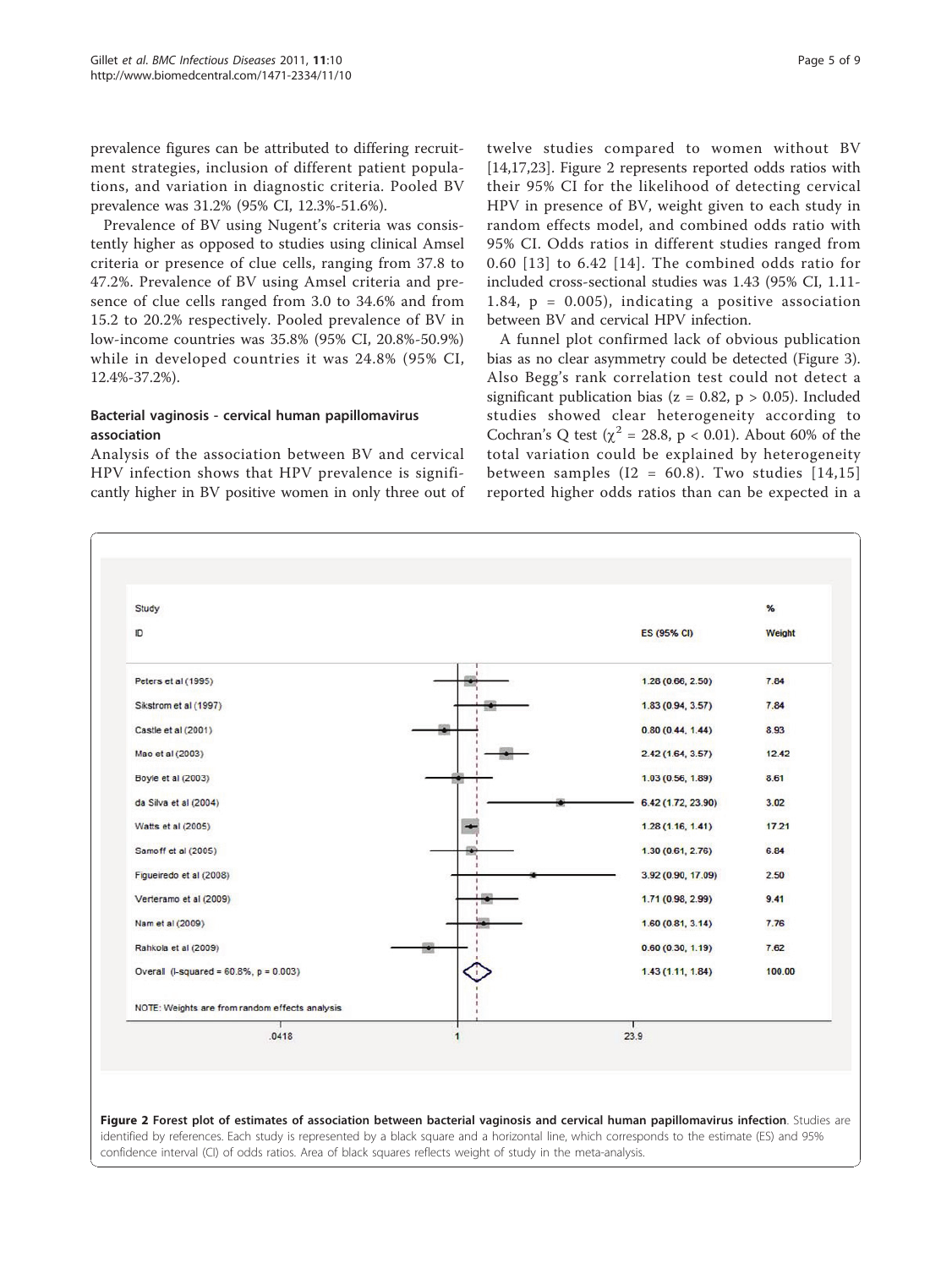<span id="page-4-0"></span>prevalence figures can be attributed to differing recruitment strategies, inclusion of different patient populations, and variation in diagnostic criteria. Pooled BV prevalence was 31.2% (95% CI, 12.3%-51.6%).

Prevalence of BV using Nugent's criteria was consistently higher as opposed to studies using clinical Amsel criteria or presence of clue cells, ranging from 37.8 to 47.2%. Prevalence of BV using Amsel criteria and presence of clue cells ranged from 3.0 to 34.6% and from 15.2 to 20.2% respectively. Pooled prevalence of BV in low-income countries was 35.8% (95% CI, 20.8%-50.9%) while in developed countries it was 24.8% (95% CI, 12.4%-37.2%).

## Bacterial vaginosis - cervical human papillomavirus association

Study

Peters et al (1995)

Castle et al (2001)

Mao et al (2003)

Boyle et al (2003)

da Silva et al (2004)

Watts et al (2005)

Samoff et al (2005)

Figueiredo et al (2008)

Verteramo et al (2009)

Nam et al (2009)

Rahkola et al (2009)

Overall (I-squared =  $60.8\%$ , p =  $0.003$ )

Sikstrom et al (1997)

 $\mathbb{D}$ 

Analysis of the association between BV and cervical HPV infection shows that HPV prevalence is significantly higher in BV positive women in only three out of

twelve studies compared to women without BV [[14,17,23\]](#page-7-0). Figure 2 represents reported odds ratios with their 95% CI for the likelihood of detecting cervical HPV in presence of BV, weight given to each study in random effects model, and combined odds ratio with 95% CI. Odds ratios in different studies ranged from 0.60 [[13](#page-7-0)] to 6.42 [[14](#page-7-0)]. The combined odds ratio for included cross-sectional studies was 1.43 (95% CI, 1.11- 1.84,  $p = 0.005$ ), indicating a positive association between BV and cervical HPV infection.

A funnel plot confirmed lack of obvious publication bias as no clear asymmetry could be detected (Figure [3](#page-5-0)). Also Begg's rank correlation test could not detect a significant publication bias ( $z = 0.82$ ,  $p > 0.05$ ). Included studies showed clear heterogeneity according to Cochran's Q test ( $\chi^2$  = 28.8, p < 0.01). About 60% of the total variation could be explained by heterogeneity between samples ( $I2 = 60.8$ ). Two studies  $[14,15]$  $[14,15]$  $[14,15]$  $[14,15]$  $[14,15]$ reported higher odds ratios than can be expected in a

ES (95% CI)

 $1.28(0.66, 2.50)$ 

 $1.83(0.94, 3.57)$ 

 $0.80(0.44, 1.44)$ 

2.42 (1.64, 3.57)

1.03 (0.56, 1.89)

6.42 (1.72, 23.90)

 $1,28$  (1.16, 1.41)

 $1,30(0.61, 2.76)$ 

3.92 (0.90, 17.09)

1.71 (0.98, 2.99)

 $1,60(0.81, 3.14)$ 

 $0.60(0.30, 1.19)$ 

1.43 (1.11, 1.84)

٩

Weight

7.84

7.84

8.93

 $12.42$ 

8.61

3.02

17.21

6.84

 $2.50$ 

 $9.41$ 

7.76

7.62

100.00

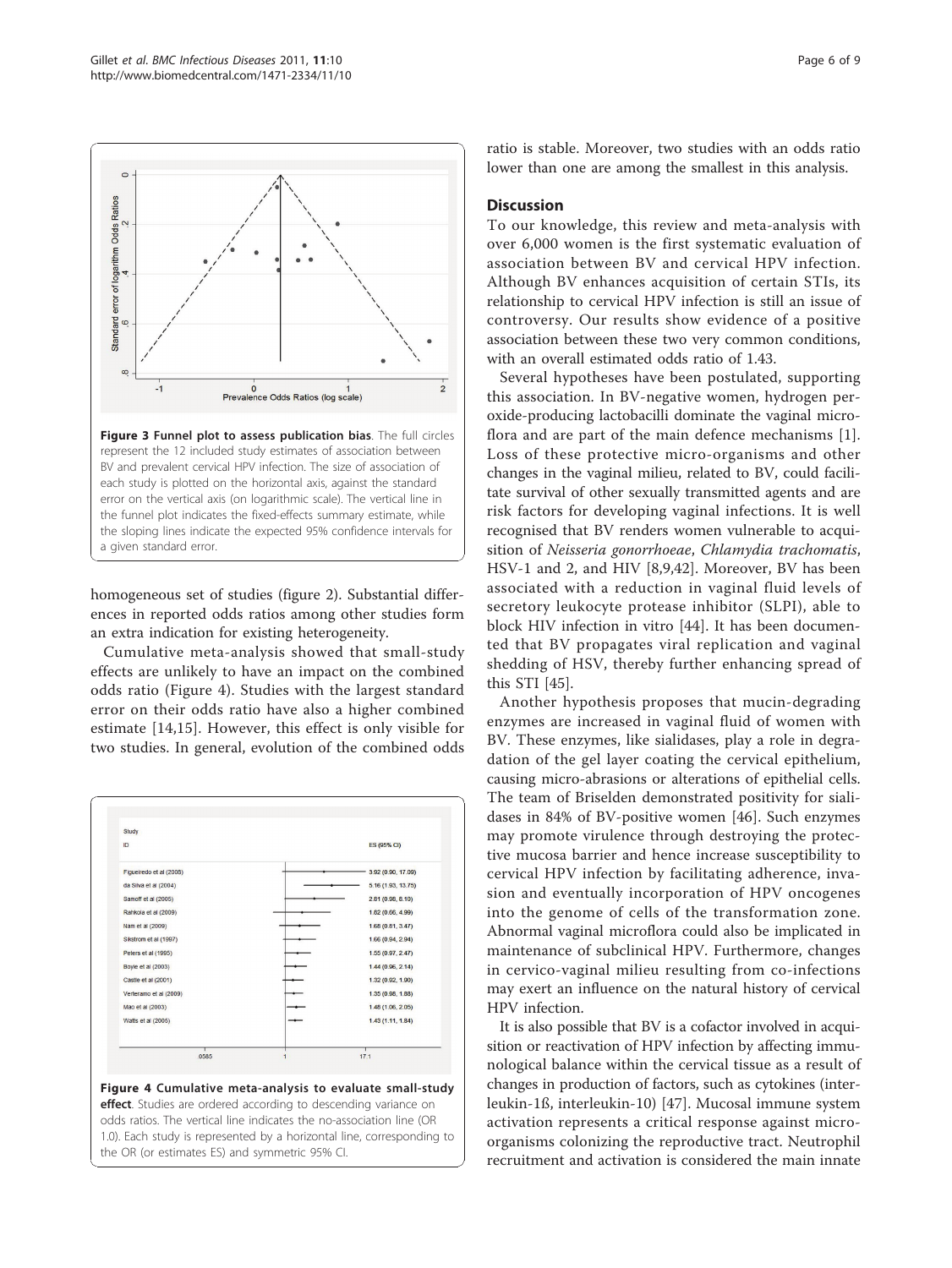homogeneous set of studies (figure [2\)](#page-4-0). Substantial differences in reported odds ratios among other studies form an extra indication for existing heterogeneity.

Cumulative meta-analysis showed that small-study effects are unlikely to have an impact on the combined odds ratio (Figure 4). Studies with the largest standard error on their odds ratio have also a higher combined estimate [\[14](#page-7-0),[15\]](#page-7-0). However, this effect is only visible for two studies. In general, evolution of the combined odds

Study ID ES (95% CI) Figueiredo et al (2008) 3.92 (0.90, 17.09) da Silva et al (2004) 5.16 (1.93, 13.75) Samoff et al (2005)  $2.81(0.98, 8.10)$ Rahkola et al (2009) 1.82 (0.66, 4.99)  $1.68(0.81, 3.47)$ Nam et al (2009) 1.66 (0.94, 2.94) Sikstrom et al (1997) Peters et al (1995)  $1.55(0.97, 2.47)$ Boyle et al (2003)  $1.44(0.96, 2.14)$ Castle et al (2001 1.32 (0.92, 1.90)  $1.35(0.98, 1.88)$ Verteramo et al (2009 Mao et al (2003) 1.48 (1.06, 2.05) Watts et al (2005) 1.43 (1.11, 1.84)  $.0585$  $17.1$ Figure 4 Cumulative meta-analysis to evaluate small-study effect. Studies are ordered according to descending variance on odds ratios. The vertical line indicates the no-association line (OR 1.0). Each study is represented by a horizontal line, corresponding to the OR (or estimates ES) and symmetric 95% CI.

ratio is stable. Moreover, two studies with an odds ratio lower than one are among the smallest in this analysis.

## **Discussion**

To our knowledge, this review and meta-analysis with over 6,000 women is the first systematic evaluation of association between BV and cervical HPV infection. Although BV enhances acquisition of certain STIs, its relationship to cervical HPV infection is still an issue of controversy. Our results show evidence of a positive association between these two very common conditions, with an overall estimated odds ratio of 1.43.

Several hypotheses have been postulated, supporting this association. In BV-negative women, hydrogen peroxide-producing lactobacilli dominate the vaginal microflora and are part of the main defence mechanisms [[1](#page-7-0)]. Loss of these protective micro-organisms and other changes in the vaginal milieu, related to BV, could facilitate survival of other sexually transmitted agents and are risk factors for developing vaginal infections. It is well recognised that BV renders women vulnerable to acquisition of Neisseria gonorrhoeae, Chlamydia trachomatis, HSV-1 and 2, and HIV [[8,9,](#page-7-0)[42\]](#page-8-0). Moreover, BV has been associated with a reduction in vaginal fluid levels of secretory leukocyte protease inhibitor (SLPI), able to block HIV infection in vitro [\[44](#page-8-0)]. It has been documented that BV propagates viral replication and vaginal shedding of HSV, thereby further enhancing spread of this STI [[45\]](#page-8-0).

Another hypothesis proposes that mucin-degrading enzymes are increased in vaginal fluid of women with BV. These enzymes, like sialidases, play a role in degradation of the gel layer coating the cervical epithelium, causing micro-abrasions or alterations of epithelial cells. The team of Briselden demonstrated positivity for sialidases in 84% of BV-positive women [\[46](#page-8-0)]. Such enzymes may promote virulence through destroying the protective mucosa barrier and hence increase susceptibility to cervical HPV infection by facilitating adherence, invasion and eventually incorporation of HPV oncogenes into the genome of cells of the transformation zone. Abnormal vaginal microflora could also be implicated in maintenance of subclinical HPV. Furthermore, changes in cervico-vaginal milieu resulting from co-infections may exert an influence on the natural history of cervical HPV infection.

It is also possible that BV is a cofactor involved in acquisition or reactivation of HPV infection by affecting immunological balance within the cervical tissue as a result of changes in production of factors, such as cytokines (interleukin-1ß, interleukin-10) [\[47](#page-8-0)]. Mucosal immune system activation represents a critical response against microorganisms colonizing the reproductive tract. Neutrophil recruitment and activation is considered the main innate

<span id="page-5-0"></span>

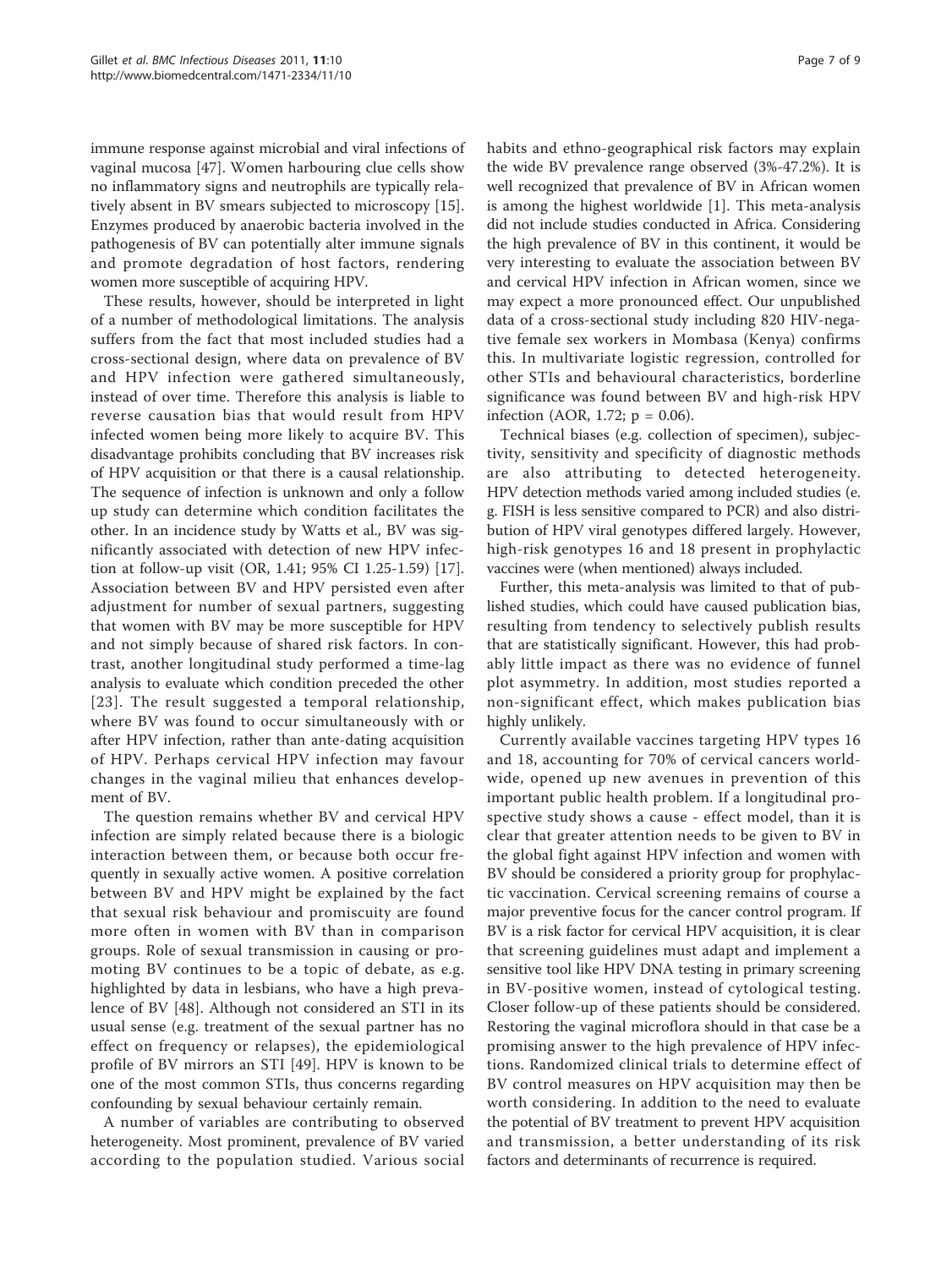immune response against microbial and viral infections of vaginal mucosa [[47\]](#page-8-0). Women harbouring clue cells show no inflammatory signs and neutrophils are typically relatively absent in BV smears subjected to microscopy [\[15](#page-7-0)]. Enzymes produced by anaerobic bacteria involved in the pathogenesis of BV can potentially alter immune signals and promote degradation of host factors, rendering women more susceptible of acquiring HPV.

These results, however, should be interpreted in light of a number of methodological limitations. The analysis suffers from the fact that most included studies had a cross-sectional design, where data on prevalence of BV and HPV infection were gathered simultaneously, instead of over time. Therefore this analysis is liable to reverse causation bias that would result from HPV infected women being more likely to acquire BV. This disadvantage prohibits concluding that BV increases risk of HPV acquisition or that there is a causal relationship. The sequence of infection is unknown and only a follow up study can determine which condition facilitates the other. In an incidence study by Watts et al., BV was significantly associated with detection of new HPV infection at follow-up visit (OR, 1.41; 95% CI 1.25-1.59) [\[17](#page-7-0)]. Association between BV and HPV persisted even after adjustment for number of sexual partners, suggesting that women with BV may be more susceptible for HPV and not simply because of shared risk factors. In contrast, another longitudinal study performed a time-lag analysis to evaluate which condition preceded the other [[23](#page-7-0)]. The result suggested a temporal relationship, where BV was found to occur simultaneously with or after HPV infection, rather than ante-dating acquisition of HPV. Perhaps cervical HPV infection may favour changes in the vaginal milieu that enhances development of BV.

The question remains whether BV and cervical HPV infection are simply related because there is a biologic interaction between them, or because both occur frequently in sexually active women. A positive correlation between BV and HPV might be explained by the fact that sexual risk behaviour and promiscuity are found more often in women with BV than in comparison groups. Role of sexual transmission in causing or promoting BV continues to be a topic of debate, as e.g. highlighted by data in lesbians, who have a high prevalence of BV [[48\]](#page-8-0). Although not considered an STI in its usual sense (e.g. treatment of the sexual partner has no effect on frequency or relapses), the epidemiological profile of BV mirrors an STI [[49](#page-8-0)]. HPV is known to be one of the most common STIs, thus concerns regarding confounding by sexual behaviour certainly remain.

A number of variables are contributing to observed heterogeneity. Most prominent, prevalence of BV varied according to the population studied. Various social habits and ethno-geographical risk factors may explain the wide BV prevalence range observed (3%-47.2%). It is well recognized that prevalence of BV in African women is among the highest worldwide [\[1](#page-7-0)]. This meta-analysis did not include studies conducted in Africa. Considering the high prevalence of BV in this continent, it would be very interesting to evaluate the association between BV and cervical HPV infection in African women, since we may expect a more pronounced effect. Our unpublished data of a cross-sectional study including 820 HIV-negative female sex workers in Mombasa (Kenya) confirms this. In multivariate logistic regression, controlled for other STIs and behavioural characteristics, borderline significance was found between BV and high-risk HPV infection (AOR, 1.72;  $p = 0.06$ ).

Technical biases (e.g. collection of specimen), subjectivity, sensitivity and specificity of diagnostic methods are also attributing to detected heterogeneity. HPV detection methods varied among included studies (e. g. FISH is less sensitive compared to PCR) and also distribution of HPV viral genotypes differed largely. However, high-risk genotypes 16 and 18 present in prophylactic vaccines were (when mentioned) always included.

Further, this meta-analysis was limited to that of published studies, which could have caused publication bias, resulting from tendency to selectively publish results that are statistically significant. However, this had probably little impact as there was no evidence of funnel plot asymmetry. In addition, most studies reported a non-significant effect, which makes publication bias highly unlikely.

Currently available vaccines targeting HPV types 16 and 18, accounting for 70% of cervical cancers worldwide, opened up new avenues in prevention of this important public health problem. If a longitudinal prospective study shows a cause - effect model, than it is clear that greater attention needs to be given to BV in the global fight against HPV infection and women with BV should be considered a priority group for prophylactic vaccination. Cervical screening remains of course a major preventive focus for the cancer control program. If BV is a risk factor for cervical HPV acquisition, it is clear that screening guidelines must adapt and implement a sensitive tool like HPV DNA testing in primary screening in BV-positive women, instead of cytological testing. Closer follow-up of these patients should be considered. Restoring the vaginal microflora should in that case be a promising answer to the high prevalence of HPV infections. Randomized clinical trials to determine effect of BV control measures on HPV acquisition may then be worth considering. In addition to the need to evaluate the potential of BV treatment to prevent HPV acquisition and transmission, a better understanding of its risk factors and determinants of recurrence is required.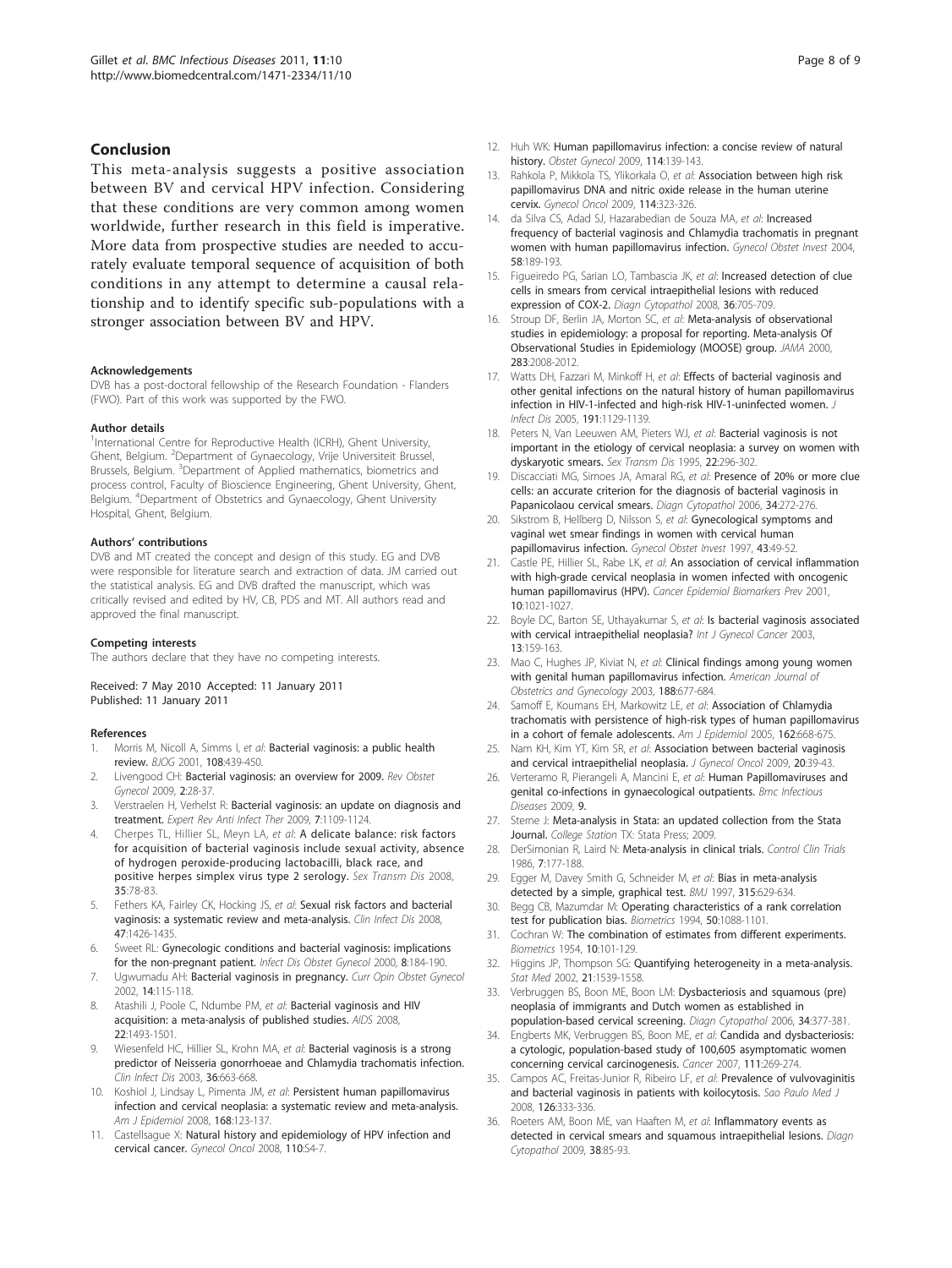## <span id="page-7-0"></span>Conclusion

This meta-analysis suggests a positive association between BV and cervical HPV infection. Considering that these conditions are very common among women worldwide, further research in this field is imperative. More data from prospective studies are needed to accurately evaluate temporal sequence of acquisition of both conditions in any attempt to determine a causal relationship and to identify specific sub-populations with a stronger association between BV and HPV.

#### Acknowledgements

DVB has a post-doctoral fellowship of the Research Foundation - Flanders (FWO). Part of this work was supported by the FWO.

#### Author details

<sup>1</sup>International Centre for Reproductive Health (ICRH), Ghent University, Ghent, Belgium. <sup>2</sup>Department of Gynaecology, Vrije Universiteit Brussel, Brussels, Belgium. <sup>3</sup>Department of Applied mathematics, biometrics and process control, Faculty of Bioscience Engineering, Ghent University, Ghent, .<br>Belgium. <sup>4</sup>Department of Obstetrics and Gynaecology, Ghent University Hospital, Ghent, Belgium.

#### Authors' contributions

DVB and MT created the concept and design of this study. EG and DVB were responsible for literature search and extraction of data. JM carried out the statistical analysis. EG and DVB drafted the manuscript, which was critically revised and edited by HV, CB, PDS and MT. All authors read and approved the final manuscript.

#### Competing interests

The authors declare that they have no competing interests.

#### Received: 7 May 2010 Accepted: 11 January 2011 Published: 11 January 2011

#### References

- 1. Morris M, Nicoll A, Simms I, et al: [Bacterial vaginosis: a public health](http://www.ncbi.nlm.nih.gov/pubmed/11368127?dopt=Abstract) [review.](http://www.ncbi.nlm.nih.gov/pubmed/11368127?dopt=Abstract) BJOG 2001, 108:439-450.
- 2. Livengood CH: [Bacterial vaginosis: an overview for 2009.](http://www.ncbi.nlm.nih.gov/pubmed/19399292?dopt=Abstract) Rev Obstet Gynecol 2009, 2:28-37.
- 3. Verstraelen H, Verhelst R: [Bacterial vaginosis: an update on diagnosis and](http://www.ncbi.nlm.nih.gov/pubmed/19883331?dopt=Abstract) [treatment.](http://www.ncbi.nlm.nih.gov/pubmed/19883331?dopt=Abstract) Expert Rev Anti Infect Ther 2009, 7:1109-1124.
- 4. Cherpes TL, Hillier SL, Meyn LA, et al: [A delicate balance: risk factors](http://www.ncbi.nlm.nih.gov/pubmed/17989585?dopt=Abstract) [for acquisition of bacterial vaginosis include sexual activity, absence](http://www.ncbi.nlm.nih.gov/pubmed/17989585?dopt=Abstract) [of hydrogen peroxide-producing lactobacilli, black race, and](http://www.ncbi.nlm.nih.gov/pubmed/17989585?dopt=Abstract) [positive herpes simplex virus type 2 serology.](http://www.ncbi.nlm.nih.gov/pubmed/17989585?dopt=Abstract) Sex Transm Dis 2008, 35:78-83.
- Fethers KA, Fairley CK, Hocking JS, et al: [Sexual risk factors and bacterial](http://www.ncbi.nlm.nih.gov/pubmed/18947329?dopt=Abstract) [vaginosis: a systematic review and meta-analysis.](http://www.ncbi.nlm.nih.gov/pubmed/18947329?dopt=Abstract) Clin Infect Dis 2008, 47:1426-1435.
- 6. Sweet RL: [Gynecologic conditions and bacterial vaginosis: implications](http://www.ncbi.nlm.nih.gov/pubmed/10968604?dopt=Abstract) [for the non-pregnant patient.](http://www.ncbi.nlm.nih.gov/pubmed/10968604?dopt=Abstract) Infect Dis Obstet Gynecol 2000, 8:184-190.
- 7. Ugwumadu AH: [Bacterial vaginosis in pregnancy.](http://www.ncbi.nlm.nih.gov/pubmed/11914687?dopt=Abstract) Curr Opin Obstet Gynecol 2002, 14:115-118.
- Atashili J, Poole C, Ndumbe PM, et al: [Bacterial vaginosis and HIV](http://www.ncbi.nlm.nih.gov/pubmed/18614873?dopt=Abstract) [acquisition: a meta-analysis of published studies.](http://www.ncbi.nlm.nih.gov/pubmed/18614873?dopt=Abstract) AIDS 2008, 22:1493-1501.
- Wiesenfeld HC, Hillier SL, Krohn MA, et al: [Bacterial vaginosis is a strong](http://www.ncbi.nlm.nih.gov/pubmed/12594649?dopt=Abstract) [predictor of Neisseria gonorrhoeae and Chlamydia trachomatis infection.](http://www.ncbi.nlm.nih.gov/pubmed/12594649?dopt=Abstract) Clin Infect Dis 2003, 36:663-668.
- 10. Koshiol J, Lindsay L, Pimenta JM, et al: [Persistent human papillomavirus](http://www.ncbi.nlm.nih.gov/pubmed/18483125?dopt=Abstract) [infection and cervical neoplasia: a systematic review and meta-analysis.](http://www.ncbi.nlm.nih.gov/pubmed/18483125?dopt=Abstract) Am J Epidemiol 2008, 168:123-137.
- 11. Castellsague X: [Natural history and epidemiology of HPV infection and](http://www.ncbi.nlm.nih.gov/pubmed/18760711?dopt=Abstract) [cervical cancer.](http://www.ncbi.nlm.nih.gov/pubmed/18760711?dopt=Abstract) Gynecol Oncol 2008, 110:S4-7.
- 12. Huh WK: [Human papillomavirus infection: a concise review of natural](http://www.ncbi.nlm.nih.gov/pubmed/19546771?dopt=Abstract) [history.](http://www.ncbi.nlm.nih.gov/pubmed/19546771?dopt=Abstract) Obstet Gynecol 2009, 114:139-143.
- 13. Rahkola P, Mikkola TS, Ylikorkala O, et al: [Association between high risk](http://www.ncbi.nlm.nih.gov/pubmed/19481240?dopt=Abstract) [papillomavirus DNA and nitric oxide release in the human uterine](http://www.ncbi.nlm.nih.gov/pubmed/19481240?dopt=Abstract) [cervix.](http://www.ncbi.nlm.nih.gov/pubmed/19481240?dopt=Abstract) Gynecol Oncol 2009, 114:323-326.
- 14. da Silva CS, Adad SJ, Hazarabedian de Souza MA, et al: [Increased](http://www.ncbi.nlm.nih.gov/pubmed/15256825?dopt=Abstract) [frequency of bacterial vaginosis and Chlamydia trachomatis in pregnant](http://www.ncbi.nlm.nih.gov/pubmed/15256825?dopt=Abstract) [women with human papillomavirus infection.](http://www.ncbi.nlm.nih.gov/pubmed/15256825?dopt=Abstract) Gynecol Obstet Invest 2004, 58:189-193.
- 15. Figueiredo PG, Sarian LO, Tambascia JK, et al: [Increased detection of clue](http://www.ncbi.nlm.nih.gov/pubmed/18773440?dopt=Abstract) [cells in smears from cervical intraepithelial lesions with reduced](http://www.ncbi.nlm.nih.gov/pubmed/18773440?dopt=Abstract) [expression of COX-2.](http://www.ncbi.nlm.nih.gov/pubmed/18773440?dopt=Abstract) Diagn Cytopathol 2008, 36:705-709.
- 16. Stroup DF, Berlin JA, Morton SC, et al: [Meta-analysis of observational](http://www.ncbi.nlm.nih.gov/pubmed/10789670?dopt=Abstract) [studies in epidemiology: a proposal for reporting. Meta-analysis Of](http://www.ncbi.nlm.nih.gov/pubmed/10789670?dopt=Abstract) [Observational Studies in Epidemiology \(MOOSE\) group.](http://www.ncbi.nlm.nih.gov/pubmed/10789670?dopt=Abstract) JAMA 2000, 283:2008-2012.
- 17. Watts DH, Fazzari M, Minkoff H, et al: [Effects of bacterial vaginosis and](http://www.ncbi.nlm.nih.gov/pubmed/15747249?dopt=Abstract) [other genital infections on the natural history of human papillomavirus](http://www.ncbi.nlm.nih.gov/pubmed/15747249?dopt=Abstract) [infection in HIV-1-infected and high-risk HIV-1-uninfected women.](http://www.ncbi.nlm.nih.gov/pubmed/15747249?dopt=Abstract) J Infect Dis 2005, 191:1129-1139.
- 18. Peters N, Van Leeuwen AM, Pieters WJ, et al: [Bacterial vaginosis is not](http://www.ncbi.nlm.nih.gov/pubmed/7502183?dopt=Abstract) [important in the etiology of cervical neoplasia: a survey on women with](http://www.ncbi.nlm.nih.gov/pubmed/7502183?dopt=Abstract) [dyskaryotic smears.](http://www.ncbi.nlm.nih.gov/pubmed/7502183?dopt=Abstract) Sex Transm Dis 1995, 22:296-302.
- 19. Discacciati MG, Simoes JA, Amaral RG, et al: [Presence of 20% or more clue](http://www.ncbi.nlm.nih.gov/pubmed/16544334?dopt=Abstract) [cells: an accurate criterion for the diagnosis of bacterial vaginosis in](http://www.ncbi.nlm.nih.gov/pubmed/16544334?dopt=Abstract) [Papanicolaou cervical smears.](http://www.ncbi.nlm.nih.gov/pubmed/16544334?dopt=Abstract) Diagn Cytopathol 2006, 34:272-276.
- 20. Sikstrom B, Hellberg D, Nilsson S, et al: [Gynecological symptoms and](http://www.ncbi.nlm.nih.gov/pubmed/9015700?dopt=Abstract) [vaginal wet smear findings in women with cervical human](http://www.ncbi.nlm.nih.gov/pubmed/9015700?dopt=Abstract) [papillomavirus infection.](http://www.ncbi.nlm.nih.gov/pubmed/9015700?dopt=Abstract) Gynecol Obstet Invest 1997, 43:49-52.
- 21. Castle PE, Hillier SL, Rabe LK, et al: [An association of cervical inflammation](http://www.ncbi.nlm.nih.gov/pubmed/11588127?dopt=Abstract) [with high-grade cervical neoplasia in women infected with oncogenic](http://www.ncbi.nlm.nih.gov/pubmed/11588127?dopt=Abstract) [human papillomavirus \(HPV\).](http://www.ncbi.nlm.nih.gov/pubmed/11588127?dopt=Abstract) Cancer Epidemiol Biomarkers Prev 2001, 10:1021-1027.
- 22. Boyle DC, Barton SE, Uthayakumar S, et al: [Is bacterial vaginosis associated](http://www.ncbi.nlm.nih.gov/pubmed/12657117?dopt=Abstract) [with cervical intraepithelial neoplasia?](http://www.ncbi.nlm.nih.gov/pubmed/12657117?dopt=Abstract) Int J Gynecol Cancer 2003, 13:159-163.
- 23. Mao C, Hughes JP, Kiviat N, et al: [Clinical findings among young women](http://www.ncbi.nlm.nih.gov/pubmed/12634640?dopt=Abstract) [with genital human papillomavirus infection.](http://www.ncbi.nlm.nih.gov/pubmed/12634640?dopt=Abstract) American Journal of Obstetrics and Gynecology 2003, 188:677-684.
- 24. Samoff E, Koumans EH, Markowitz LE, et al: [Association of Chlamydia](http://www.ncbi.nlm.nih.gov/pubmed/16120706?dopt=Abstract) [trachomatis with persistence of high-risk types of human papillomavirus](http://www.ncbi.nlm.nih.gov/pubmed/16120706?dopt=Abstract) [in a cohort of female adolescents.](http://www.ncbi.nlm.nih.gov/pubmed/16120706?dopt=Abstract) Am J Epidemiol 2005, 162:668-675.
- 25. Nam KH, Kim YT, Kim SR, et al: [Association between bacterial vaginosis](http://www.ncbi.nlm.nih.gov/pubmed/19471662?dopt=Abstract) [and cervical intraepithelial neoplasia.](http://www.ncbi.nlm.nih.gov/pubmed/19471662?dopt=Abstract) J Gynecol Oncol 2009, 20:39-43.
- 26. Verteramo R, Pierangeli A, Mancini E, et al: [Human Papillomaviruses and](http://www.ncbi.nlm.nih.gov/pubmed/19216747?dopt=Abstract) [genital co-infections in gynaecological outpatients.](http://www.ncbi.nlm.nih.gov/pubmed/19216747?dopt=Abstract) Bmc Infectious Diseases 2009, 9.
- 27. Sterne J: Meta-analysis in Stata: an updated collection from the Stata Journal. College Station TX: Stata Press; 2009.
- 28. DerSimonian R, Laird N: [Meta-analysis in clinical trials.](http://www.ncbi.nlm.nih.gov/pubmed/3802833?dopt=Abstract) Control Clin Trials 1986, 7:177-188.
- 29. Egger M, Davey Smith G, Schneider M, et al: [Bias in meta-analysis](http://www.ncbi.nlm.nih.gov/pubmed/9310563?dopt=Abstract) [detected by a simple, graphical test.](http://www.ncbi.nlm.nih.gov/pubmed/9310563?dopt=Abstract) BMJ 1997, 315:629-634.
- 30. Begg CB, Mazumdar M: [Operating characteristics of a rank correlation](http://www.ncbi.nlm.nih.gov/pubmed/7786990?dopt=Abstract) [test for publication bias.](http://www.ncbi.nlm.nih.gov/pubmed/7786990?dopt=Abstract) Biometrics 1994, 50:1088-1101.
- 31. Cochran W: The combination of estimates from different experiments. Biometrics 1954, 10:101-129.
- 32. Higgins JP, Thompson SG: [Quantifying heterogeneity in a meta-analysis.](http://www.ncbi.nlm.nih.gov/pubmed/12111919?dopt=Abstract) Stat Med 2002, 21:1539-1558.
- 33. Verbruggen BS, Boon ME, Boon LM: [Dysbacteriosis and squamous \(pre\)](http://www.ncbi.nlm.nih.gov/pubmed/16604556?dopt=Abstract) [neoplasia of immigrants and Dutch women as established in](http://www.ncbi.nlm.nih.gov/pubmed/16604556?dopt=Abstract) [population-based cervical screening.](http://www.ncbi.nlm.nih.gov/pubmed/16604556?dopt=Abstract) Diagn Cytopathol 2006, 34:377-381.
- 34. Engberts MK, Verbruggen BS, Boon ME, et al: [Candida and dysbacteriosis:](http://www.ncbi.nlm.nih.gov/pubmed/17823916?dopt=Abstract) [a cytologic, population-based study of 100,605 asymptomatic women](http://www.ncbi.nlm.nih.gov/pubmed/17823916?dopt=Abstract) [concerning cervical carcinogenesis.](http://www.ncbi.nlm.nih.gov/pubmed/17823916?dopt=Abstract) Cancer 2007, 111:269-274.
- 35. Campos AC, Freitas-Junior R, Ribeiro LF, et al: [Prevalence of vulvovaginitis](http://www.ncbi.nlm.nih.gov/pubmed/19274321?dopt=Abstract) [and bacterial vaginosis in patients with koilocytosis.](http://www.ncbi.nlm.nih.gov/pubmed/19274321?dopt=Abstract) Sao Paulo Med J 2008, 126:333-336.
- 36. Roeters AM, Boon ME, van Haaften M, et al: Inflammatory events as detected in cervical smears and squamous intraepithelial lesions. Diagn Cytopathol 2009, 38:85-93.